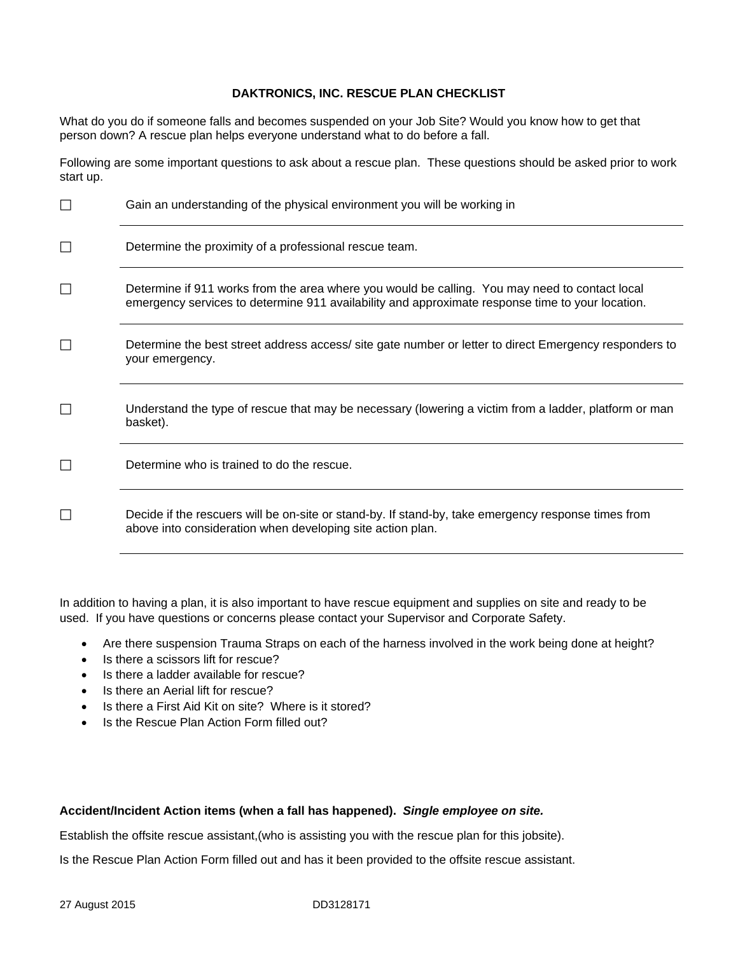## **DAKTRONICS, INC. RESCUE PLAN CHECKLIST**

What do you do if someone falls and becomes suspended on your Job Site? Would you know how to get that person down? A rescue plan helps everyone understand what to do before a fall.

Following are some important questions to ask about a rescue plan. These questions should be asked prior to work start up.

| П | Gain an understanding of the physical environment you will be working in                                                                                                                           |
|---|----------------------------------------------------------------------------------------------------------------------------------------------------------------------------------------------------|
|   | Determine the proximity of a professional rescue team.                                                                                                                                             |
|   | Determine if 911 works from the area where you would be calling. You may need to contact local<br>emergency services to determine 911 availability and approximate response time to your location. |
|   | Determine the best street address access/ site gate number or letter to direct Emergency responders to<br>your emergency.                                                                          |
|   | Understand the type of rescue that may be necessary (lowering a victim from a ladder, platform or man<br>basket).                                                                                  |
|   | Determine who is trained to do the rescue.                                                                                                                                                         |
|   | Decide if the rescuers will be on-site or stand-by. If stand-by, take emergency response times from<br>above into consideration when developing site action plan.                                  |

In addition to having a plan, it is also important to have rescue equipment and supplies on site and ready to be used. If you have questions or concerns please contact your Supervisor and Corporate Safety.

- Are there suspension Trauma Straps on each of the harness involved in the work being done at height?
- Is there a scissors lift for rescue?
- Is there a ladder available for rescue?
- Is there an Aerial lift for rescue?
- Is there a First Aid Kit on site? Where is it stored?
- Is the Rescue Plan Action Form filled out?

## **Accident/Incident Action items (when a fall has happened).** *Single employee on site.*

Establish the offsite rescue assistant,(who is assisting you with the rescue plan for this jobsite).

Is the Rescue Plan Action Form filled out and has it been provided to the offsite rescue assistant.